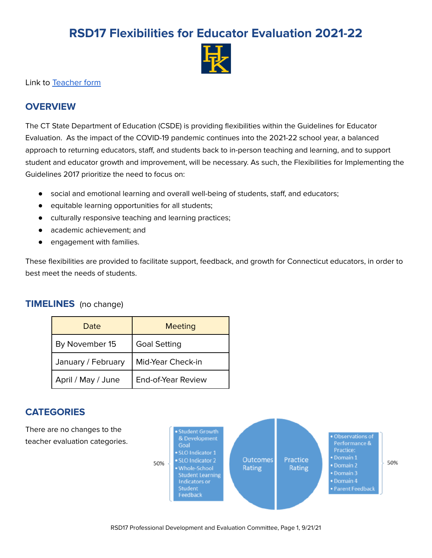# **RSD17 Flexibilities for Educator Evaluation 2021-22**



Link to [Teacher](https://docs.google.com/document/d/1bgusASgRpCGtgfv-Yd4vylJlRM37oB3H9wiFiakHh_A/edit?usp=sharing) form

### **OVERVIEW**

The CT State Department of Education (CSDE) is providing flexibilities within the Guidelines for Educator Evaluation. As the impact of the COVID-19 pandemic continues into the 2021-22 school year, a balanced approach to returning educators, staff, and students back to in-person teaching and learning, and to support student and educator growth and improvement, will be necessary. As such, the Flexibilities for Implementing the Guidelines 2017 prioritize the need to focus on:

- social and emotional learning and overall well-being of students, staff, and educators;
- equitable learning opportunities for all students;
- culturally responsive teaching and learning practices;
- academic achievement; and
- engagement with families.

These flexibilities are provided to facilitate support, feedback, and growth for Connecticut educators, in order to best meet the needs of students.

### **TIMELINES** (no change)

| Date               | <b>Meeting</b>      |  |
|--------------------|---------------------|--|
| By November 15     | <b>Goal Setting</b> |  |
| January / February | Mid-Year Check-in   |  |
| April / May / June | End-of-Year Review  |  |

### **CATEGORIES**

There are no changes to the teacher evaluation categories.

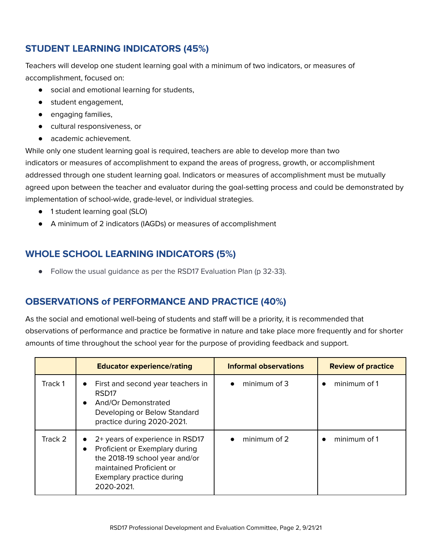# **STUDENT LEARNING INDICATORS (45%)**

Teachers will develop one student learning goal with a minimum of two indicators, or measures of accomplishment, focused on:

- social and emotional learning for students,
- student engagement,
- engaging families,
- cultural responsiveness, or
- academic achievement.

While only one student learning goal is required, teachers are able to develop more than two indicators or measures of accomplishment to expand the areas of progress, growth, or accomplishment addressed through one student learning goal. Indicators or measures of accomplishment must be mutually agreed upon between the teacher and evaluator during the goal-setting process and could be demonstrated by implementation of school-wide, grade-level, or individual strategies.

- 1 student learning goal (SLO)
- A minimum of 2 indicators (IAGDs) or measures of accomplishment

# **WHOLE SCHOOL LEARNING INDICATORS (5%)**

● Follow the usual guidance as per the RSD17 Evaluation Plan (p 32-33).

## **OBSERVATIONS of PERFORMANCE AND PRACTICE (40%)**

As the social and emotional well-being of students and staff will be a priority, it is recommended that observations of performance and practice be formative in nature and take place more frequently and for shorter amounts of time throughout the school year for the purpose of providing feedback and support.

|         | <b>Educator experience/rating</b>                                                                                                                                         | <b>Informal observations</b> | <b>Review of practice</b> |
|---------|---------------------------------------------------------------------------------------------------------------------------------------------------------------------------|------------------------------|---------------------------|
| Track 1 | First and second year teachers in<br>$\bullet$<br>RSD <sub>17</sub><br>And/Or Demonstrated<br>$\bullet$<br>Developing or Below Standard<br>practice during 2020-2021.     | minimum of 3                 | minimum of 1              |
| Track 2 | 2+ years of experience in RSD17<br>Proficient or Exemplary during<br>the 2018-19 school year and/or<br>maintained Proficient or<br>Exemplary practice during<br>2020-2021 | minimum of 2                 | minimum of 1              |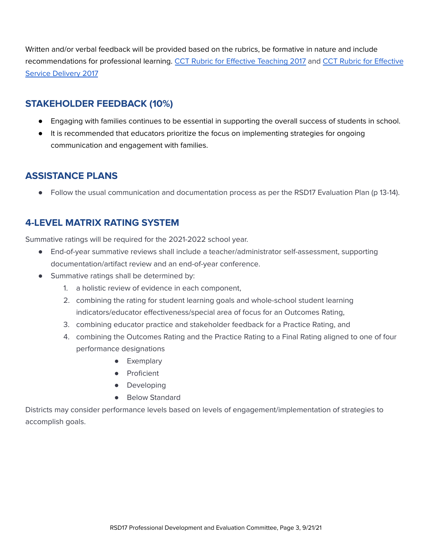Written and/or verbal feedback will be provided based on the rubrics, be formative in nature and include recommendations for professional learning. CCT Rubric for Effective [Teaching](https://portal.ct.gov/-/media/SDE/Evaluation-and-Support/CCTRubricForEffectiveTeaching2017.pdf?la=en) 2017 and CCT Rubric for [Effective](https://portal.ct.gov/-/media/SDE/Evaluation-and-Support/SESSRubric2017.pdf?la=en) Service [Delivery](https://portal.ct.gov/-/media/SDE/Evaluation-and-Support/SESSRubric2017.pdf?la=en) 2017

### **STAKEHOLDER FEEDBACK (10%)**

- Engaging with families continues to be essential in supporting the overall success of students in school.
- It is recommended that educators prioritize the focus on implementing strategies for ongoing communication and engagement with families.

### **ASSISTANCE PLANS**

● Follow the usual communication and documentation process as per the RSD17 Evaluation Plan (p 13-14).

### **4-LEVEL MATRIX RATING SYSTEM**

Summative ratings will be required for the 2021-2022 school year.

- End-of-year summative reviews shall include a teacher/administrator self-assessment, supporting documentation/artifact review and an end-of-year conference.
- Summative ratings shall be determined by:
	- 1. a holistic review of evidence in each component,
	- 2. combining the rating for student learning goals and whole-school student learning indicators/educator effectiveness/special area of focus for an Outcomes Rating,
	- 3. combining educator practice and stakeholder feedback for a Practice Rating, and
	- 4. combining the Outcomes Rating and the Practice Rating to a Final Rating aligned to one of four performance designations
		- Exemplary
		- Proficient
		- Developing
		- Below Standard

Districts may consider performance levels based on levels of engagement/implementation of strategies to accomplish goals.